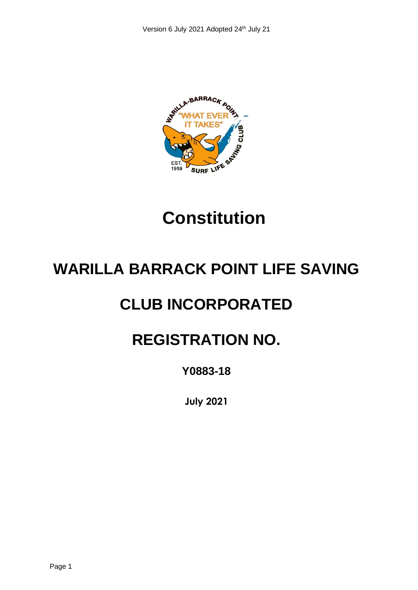

# **Constitution**

# **WARILLA BARRACK POINT LIFE SAVING**

# **CLUB INCORPORATED**

# **REGISTRATION NO.**

**Y0883-18**

**July 2021**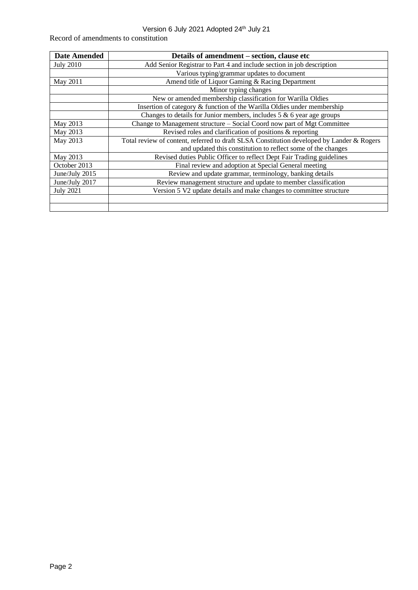# Version 6 July 2021 Adopted 24<sup>th</sup> July 21

Record of amendments to constitution

| <b>Date Amended</b> | Details of amendment – section, clause etc                                                |  |  |  |  |
|---------------------|-------------------------------------------------------------------------------------------|--|--|--|--|
| <b>July 2010</b>    | Add Senior Registrar to Part 4 and include section in job description                     |  |  |  |  |
|                     | Various typing/grammar updates to document                                                |  |  |  |  |
| May 2011            | Amend title of Liquor Gaming & Racing Department                                          |  |  |  |  |
|                     | Minor typing changes                                                                      |  |  |  |  |
|                     | New or amended membership classification for Warilla Oldies                               |  |  |  |  |
|                     | Insertion of category & function of the Warilla Oldies under membership                   |  |  |  |  |
|                     | Changes to details for Junior members, includes $5 & 6$ year age groups                   |  |  |  |  |
| May 2013            | Change to Management structure – Social Coord now part of Mgt Committee                   |  |  |  |  |
| May 2013            | Revised roles and clarification of positions $\&$ reporting                               |  |  |  |  |
| May 2013            | Total review of content, referred to draft SLSA Constitution developed by Lander & Rogers |  |  |  |  |
|                     | and updated this constitution to reflect some of the changes                              |  |  |  |  |
| May 2013            | Revised duties Public Officer to reflect Dept Fair Trading guidelines                     |  |  |  |  |
| October 2013        | Final review and adoption at Special General meeting                                      |  |  |  |  |
| June/July 2015      | Review and update grammar, terminology, banking details                                   |  |  |  |  |
| June/July 2017      | Review management structure and update to member classification                           |  |  |  |  |
| <b>July 2021</b>    | Version 5 V2 update details and make changes to committee structure                       |  |  |  |  |
|                     |                                                                                           |  |  |  |  |
|                     |                                                                                           |  |  |  |  |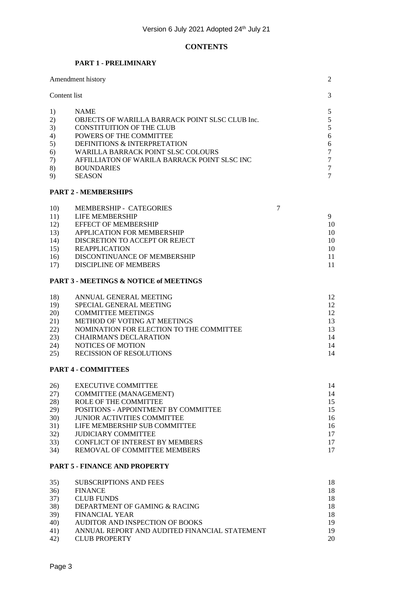# **CONTENTS**

# **PART 1 - PRELIMINARY**

| Content list<br>3<br><b>NAME</b><br>5<br>1)<br>5<br>OBJECTS OF WARILLA BARRACK POINT SLSC CLUB Inc.<br>2)<br>5<br>3)<br>CONSTITUITION OF THE CLUB<br>4)<br>POWERS OF THE COMMITTEE<br>6<br>5)<br>DEFINITIONS & INTERPRETATION<br>6<br>WARILLA BARRACK POINT SLSC COLOURS<br>7<br>6)<br>AFFILLIATON OF WARILA BARRACK POINT SLSC INC<br>7<br>7)<br>8)<br>7<br><b>BOUNDARIES</b><br><b>SEASON</b><br>$\tau$<br>9)<br><b>PART 2 - MEMBERSHIPS</b><br>7<br>10)<br>MEMBERSHIP - CATEGORIES<br><b>LIFE MEMBERSHIP</b><br>9<br>11)<br>12)<br><b>EFFECT OF MEMBERSHIP</b><br>13)<br>APPLICATION FOR MEMBERSHIP<br>DISCRETION TO ACCEPT OR REJECT<br>14)<br>15)<br><b>REAPPLICATION</b><br>DISCONTINUANCE OF MEMBERSHIP<br>16)<br><b>DISCIPLINE OF MEMBERS</b><br>17)<br><b>PART 3 - MEETINGS &amp; NOTICE of MEETINGS</b><br>18)<br>ANNUAL GENERAL MEETING<br>19)<br>SPECIAL GENERAL MEETING<br>20)<br><b>COMMITTEE MEETINGS</b><br>METHOD OF VOTING AT MEETINGS<br>21)<br>22)<br>NOMINATION FOR ELECTION TO THE COMMITTEE<br>23)<br><b>CHAIRMAN'S DECLARATION</b><br>NOTICES OF MOTION<br>24)<br><b>RECISSION OF RESOLUTIONS</b><br>25)<br><b>PART 4 - COMMITTEES</b><br><b>EXECUTIVE COMMITTEE</b><br>26)<br>27)<br>COMMITTEE (MANAGEMENT)<br>28)<br>ROLE OF THE COMMITTEE<br>29)<br>POSITIONS - APPOINTMENT BY COMMITTEE<br>30)<br>JUNIOR ACTIVITIES COMMITTEE<br>31)<br>LIFE MEMBERSHIP SUB COMMITTEE<br>32)<br><b>JUDICIARY COMMITTEE</b><br>33)<br><b>CONFLICT OF INTEREST BY MEMBERS</b><br>REMOVAL OF COMMITTEE MEMBERS<br>34)<br><b>PART 5 - FINANCE AND PROPERTY</b><br><b>SUBSCRIPTIONS AND FEES</b><br>35)<br>36)<br><b>FINANCE</b><br>37)<br><b>CLUB FUNDS</b><br>38)<br>DEPARTMENT OF GAMING & RACING |     | Amendment history     | $\overline{2}$                                     |
|-------------------------------------------------------------------------------------------------------------------------------------------------------------------------------------------------------------------------------------------------------------------------------------------------------------------------------------------------------------------------------------------------------------------------------------------------------------------------------------------------------------------------------------------------------------------------------------------------------------------------------------------------------------------------------------------------------------------------------------------------------------------------------------------------------------------------------------------------------------------------------------------------------------------------------------------------------------------------------------------------------------------------------------------------------------------------------------------------------------------------------------------------------------------------------------------------------------------------------------------------------------------------------------------------------------------------------------------------------------------------------------------------------------------------------------------------------------------------------------------------------------------------------------------------------------------------------------------------------------------------------------------------------------------------------------------------------------|-----|-----------------------|----------------------------------------------------|
|                                                                                                                                                                                                                                                                                                                                                                                                                                                                                                                                                                                                                                                                                                                                                                                                                                                                                                                                                                                                                                                                                                                                                                                                                                                                                                                                                                                                                                                                                                                                                                                                                                                                                                             |     |                       |                                                    |
|                                                                                                                                                                                                                                                                                                                                                                                                                                                                                                                                                                                                                                                                                                                                                                                                                                                                                                                                                                                                                                                                                                                                                                                                                                                                                                                                                                                                                                                                                                                                                                                                                                                                                                             |     |                       |                                                    |
|                                                                                                                                                                                                                                                                                                                                                                                                                                                                                                                                                                                                                                                                                                                                                                                                                                                                                                                                                                                                                                                                                                                                                                                                                                                                                                                                                                                                                                                                                                                                                                                                                                                                                                             |     |                       |                                                    |
|                                                                                                                                                                                                                                                                                                                                                                                                                                                                                                                                                                                                                                                                                                                                                                                                                                                                                                                                                                                                                                                                                                                                                                                                                                                                                                                                                                                                                                                                                                                                                                                                                                                                                                             |     |                       | 10<br>10<br>10<br>10<br>11<br>11                   |
|                                                                                                                                                                                                                                                                                                                                                                                                                                                                                                                                                                                                                                                                                                                                                                                                                                                                                                                                                                                                                                                                                                                                                                                                                                                                                                                                                                                                                                                                                                                                                                                                                                                                                                             |     |                       |                                                    |
|                                                                                                                                                                                                                                                                                                                                                                                                                                                                                                                                                                                                                                                                                                                                                                                                                                                                                                                                                                                                                                                                                                                                                                                                                                                                                                                                                                                                                                                                                                                                                                                                                                                                                                             |     |                       | 12<br>12<br>12<br>13<br>13<br>14<br>14<br>14       |
|                                                                                                                                                                                                                                                                                                                                                                                                                                                                                                                                                                                                                                                                                                                                                                                                                                                                                                                                                                                                                                                                                                                                                                                                                                                                                                                                                                                                                                                                                                                                                                                                                                                                                                             |     |                       |                                                    |
|                                                                                                                                                                                                                                                                                                                                                                                                                                                                                                                                                                                                                                                                                                                                                                                                                                                                                                                                                                                                                                                                                                                                                                                                                                                                                                                                                                                                                                                                                                                                                                                                                                                                                                             |     |                       | 14<br>14<br>15<br>15<br>16<br>16<br>17<br>17<br>17 |
|                                                                                                                                                                                                                                                                                                                                                                                                                                                                                                                                                                                                                                                                                                                                                                                                                                                                                                                                                                                                                                                                                                                                                                                                                                                                                                                                                                                                                                                                                                                                                                                                                                                                                                             |     |                       |                                                    |
|                                                                                                                                                                                                                                                                                                                                                                                                                                                                                                                                                                                                                                                                                                                                                                                                                                                                                                                                                                                                                                                                                                                                                                                                                                                                                                                                                                                                                                                                                                                                                                                                                                                                                                             | 39) | <b>FINANCIAL YEAR</b> | 18<br>18<br>18<br>18<br>18                         |

40) AUDITOR AND INSPECTION OF BOOKS 19

| $\cdot$ . | The priority is the district of books         |    |
|-----------|-----------------------------------------------|----|
| 41)       | ANNUAL REPORT AND AUDITED FINANCIAL STATEMENT |    |
| 42)       | CLUB PROPERTY                                 | 20 |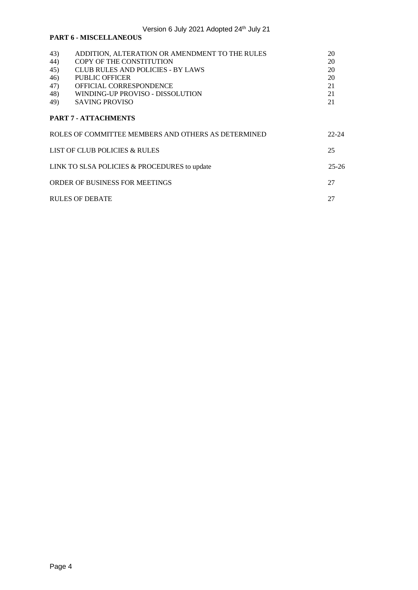|                                               | <b>PART 6 - MISCELLANEOUS</b>                                                                                                                                                                                             |                                        |  |
|-----------------------------------------------|---------------------------------------------------------------------------------------------------------------------------------------------------------------------------------------------------------------------------|----------------------------------------|--|
| 43)<br>44)<br>45)<br>46)<br>47)<br>48)<br>49) | ADDITION, ALTERATION OR AMENDMENT TO THE RULES<br>COPY OF THE CONSTITUTION<br><b>CLUB RULES AND POLICIES - BY LAWS</b><br>PUBLIC OFFICER<br>OFFICIAL CORRESPONDENCE<br>WINDING-UP PROVISO - DISSOLUTION<br>SAVING PROVISO | 20<br>20<br>20<br>20<br>21<br>21<br>21 |  |
|                                               | <b>PART 7 - ATTACHMENTS</b>                                                                                                                                                                                               |                                        |  |
|                                               | ROLES OF COMMITTEE MEMBERS AND OTHERS AS DETERMINED                                                                                                                                                                       | $22 - 24$                              |  |
| 25<br>LIST OF CLUB POLICIES & RULES           |                                                                                                                                                                                                                           |                                        |  |
|                                               | LINK TO SLSA POLICIES & PROCEDURES to update                                                                                                                                                                              | $25 - 26$                              |  |
|                                               | ORDER OF BUSINESS FOR MEETINGS                                                                                                                                                                                            | 27                                     |  |
|                                               | <b>RULES OF DEBATE</b>                                                                                                                                                                                                    | 27                                     |  |
|                                               |                                                                                                                                                                                                                           |                                        |  |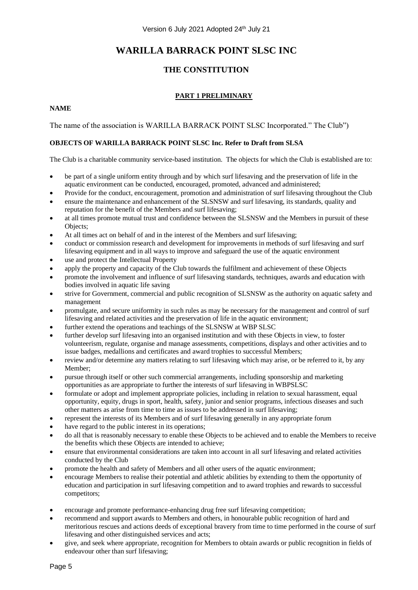# **WARILLA BARRACK POINT SLSC INC**

# **THE CONSTITUTION**

# **PART 1 PRELIMINARY**

# **NAME**

The name of the association is WARILLA BARRACK POINT SLSC Incorporated." The Club")

# **OBJECTS OF WARILLA BARRACK POINT SLSC Inc. Refer to Draft from SLSA**

The Club is a charitable community service-based institution. The objects for which the Club is established are to:

- be part of a single uniform entity through and by which surf lifesaving and the preservation of life in the aquatic environment can be conducted, encouraged, promoted, advanced and administered;
- Provide for the conduct, encouragement, promotion and administration of surf lifesaving throughout the Club
- ensure the maintenance and enhancement of the SLSNSW and surf lifesaving, its standards, quality and reputation for the benefit of the Members and surf lifesaving;
- at all times promote mutual trust and confidence between the SLSNSW and the Members in pursuit of these Objects;
- At all times act on behalf of and in the interest of the Members and surf lifesaving;
- conduct or commission research and development for improvements in methods of surf lifesaving and surf lifesaving equipment and in all ways to improve and safeguard the use of the aquatic environment
- use and protect the Intellectual Property
- apply the property and capacity of the Club towards the fulfilment and achievement of these Objects
- promote the involvement and influence of surf lifesaving standards, techniques, awards and education with bodies involved in aquatic life saving
- strive for Government, commercial and public recognition of SLSNSW as the authority on aquatic safety and management
- promulgate, and secure uniformity in such rules as may be necessary for the management and control of surf lifesaving and related activities and the preservation of life in the aquatic environment;
- further extend the operations and teachings of the SLSNSW at WBP SLSC
- further develop surf lifesaving into an organised institution and with these Objects in view, to foster volunteerism, regulate, organise and manage assessments, competitions, displays and other activities and to issue badges, medallions and certificates and award trophies to successful Members;
- review and/or determine any matters relating to surf lifesaving which may arise, or be referred to it, by any Member;
- pursue through itself or other such commercial arrangements, including sponsorship and marketing opportunities as are appropriate to further the interests of surf lifesaving in WBPSLSC
- formulate or adopt and implement appropriate policies, including in relation to sexual harassment, equal opportunity, equity, drugs in sport, health, safety, junior and senior programs, infectious diseases and such other matters as arise from time to time as issues to be addressed in surf lifesaving;
- represent the interests of its Members and of surf lifesaving generally in any appropriate forum
- have regard to the public interest in its operations:
- do all that is reasonably necessary to enable these Objects to be achieved and to enable the Members to receive the benefits which these Objects are intended to achieve;
- ensure that environmental considerations are taken into account in all surf lifesaving and related activities conducted by the Club
- promote the health and safety of Members and all other users of the aquatic environment;
- encourage Members to realise their potential and athletic abilities by extending to them the opportunity of education and participation in surf lifesaving competition and to award trophies and rewards to successful competitors;
- encourage and promote performance-enhancing drug free surf lifesaving competition;
- recommend and support awards to Members and others, in honourable public recognition of hard and meritorious rescues and actions deeds of exceptional bravery from time to time performed in the course of surf lifesaving and other distinguished services and acts;
- give, and seek where appropriate, recognition for Members to obtain awards or public recognition in fields of endeavour other than surf lifesaving;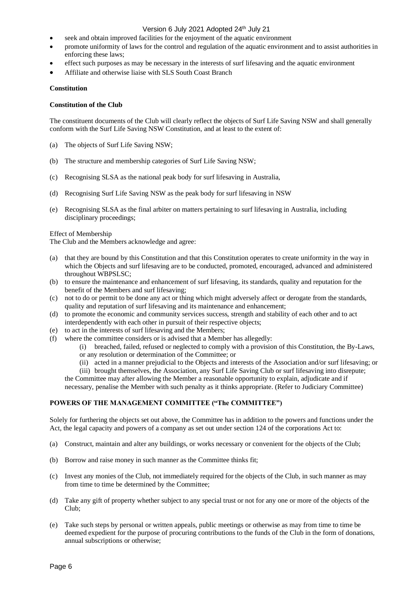- seek and obtain improved facilities for the enjoyment of the aquatic environment
- promote uniformity of laws for the control and regulation of the aquatic environment and to assist authorities in enforcing these laws;
- effect such purposes as may be necessary in the interests of surf lifesaving and the aquatic environment
- Affiliate and otherwise liaise with SLS South Coast Branch

## **Constitution**

# **Constitution of the Club**

The constituent documents of the Club will clearly reflect the objects of Surf Life Saving NSW and shall generally conform with the Surf Life Saving NSW Constitution, and at least to the extent of:

- (a) The objects of Surf Life Saving NSW;
- (b) The structure and membership categories of Surf Life Saving NSW;
- (c) Recognising SLSA as the national peak body for surf lifesaving in Australia,
- (d) Recognising Surf Life Saving NSW as the peak body for surf lifesaving in NSW
- (e) Recognising SLSA as the final arbiter on matters pertaining to surf lifesaving in Australia, including disciplinary proceedings;

## Effect of Membership

The Club and the Members acknowledge and agree:

- (a) that they are bound by this Constitution and that this Constitution operates to create uniformity in the way in which the Objects and surf lifesaving are to be conducted, promoted, encouraged, advanced and administered throughout WBPSLSC;
- (b) to ensure the maintenance and enhancement of surf lifesaving, its standards, quality and reputation for the benefit of the Members and surf lifesaving;
- (c) not to do or permit to be done any act or thing which might adversely affect or derogate from the standards, quality and reputation of surf lifesaving and its maintenance and enhancement;
- (d) to promote the economic and community services success, strength and stability of each other and to act interdependently with each other in pursuit of their respective objects;
- (e) to act in the interests of surf lifesaving and the Members;
- (f) where the committee considers or is advised that a Member has allegedly:
	- (i) breached, failed, refused or neglected to comply with a provision of this Constitution, the By-Laws, or any resolution or determination of the Committee; or
	- (ii) acted in a manner prejudicial to the Objects and interests of the Association and/or surf lifesaving; or

(iii) brought themselves, the Association, any Surf Life Saving Club or surf lifesaving into disrepute; the Committee may after allowing the Member a reasonable opportunity to explain, adjudicate and if necessary, penalise the Member with such penalty as it thinks appropriate. (Refer to Judiciary Committee)

# **POWERS OF THE MANAGEMENT COMMITTEE ("The COMMITTEE")**

Solely for furthering the objects set out above, the Committee has in addition to the powers and functions under the Act, the legal capacity and powers of a company as set out under section 124 of the corporations Act to:

- (a) Construct, maintain and alter any buildings, or works necessary or convenient for the objects of the Club;
- (b) Borrow and raise money in such manner as the Committee thinks fit;
- (c) Invest any monies of the Club, not immediately required for the objects of the Club, in such manner as may from time to time be determined by the Committee;
- (d) Take any gift of property whether subject to any special trust or not for any one or more of the objects of the Club;
- (e) Take such steps by personal or written appeals, public meetings or otherwise as may from time to time be deemed expedient for the purpose of procuring contributions to the funds of the Club in the form of donations, annual subscriptions or otherwise;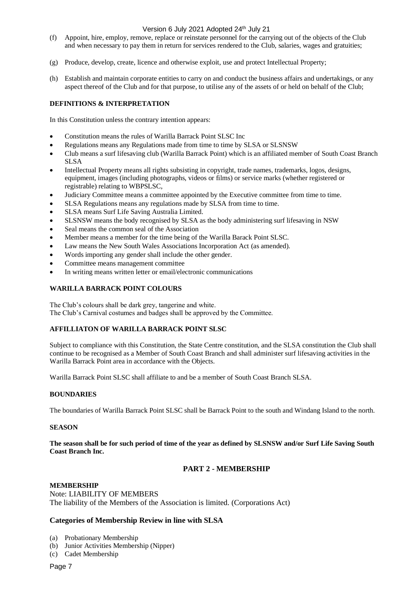- (f) Appoint, hire, employ, remove, replace or reinstate personnel for the carrying out of the objects of the Club and when necessary to pay them in return for services rendered to the Club, salaries, wages and gratuities;
- (g) Produce, develop, create, licence and otherwise exploit, use and protect Intellectual Property;
- (h) Establish and maintain corporate entities to carry on and conduct the business affairs and undertakings, or any aspect thereof of the Club and for that purpose, to utilise any of the assets of or held on behalf of the Club;

# **DEFINITIONS & INTERPRETATION**

In this Constitution unless the contrary intention appears:

- Constitution means the rules of Warilla Barrack Point SLSC Inc
- Regulations means any Regulations made from time to time by SLSA or SLSNSW
- Club means a surf lifesaving club (Warilla Barrack Point) which is an affiliated member of South Coast Branch SLSA
- Intellectual Property means all rights subsisting in copyright, trade names, trademarks, logos, designs, equipment, images (including photographs, videos or films) or service marks (whether registered or registrable) relating to WBPSLSC,
- Judiciary Committee means a committee appointed by the Executive committee from time to time.
- SLSA Regulations means any regulations made by SLSA from time to time.
- SLSA means Surf Life Saving Australia Limited.
- SLSNSW means the body recognised by SLSA as the body administering surf lifesaving in NSW
- Seal means the common seal of the Association
- Member means a member for the time being of the Warilla Barack Point SLSC.
- Law means the New South Wales Associations Incorporation Act (as amended).
- Words importing any gender shall include the other gender.
- Committee means management committee
- In writing means written letter or email/electronic communications

# **WARILLA BARRACK POINT COLOURS**

The Club's colours shall be dark grey, tangerine and white. The Club's Carnival costumes and badges shall be approved by the Committee.

# **AFFILLIATON OF WARILLA BARRACK POINT SLSC**

Subject to compliance with this Constitution, the State Centre constitution, and the SLSA constitution the Club shall continue to be recognised as a Member of South Coast Branch and shall administer surf lifesaving activities in the Warilla Barrack Point area in accordance with the Objects.

Warilla Barrack Point SLSC shall affiliate to and be a member of South Coast Branch SLSA.

# **BOUNDARIES**

The boundaries of Warilla Barrack Point SLSC shall be Barrack Point to the south and Windang Island to the north.

## **SEASON**

**The season shall be for such period of time of the year as defined by SLSNSW and/or Surf Life Saving South Coast Branch Inc.**

# **PART 2 - MEMBERSHIP**

## **MEMBERSHIP**

Note: LIABILITY OF MEMBERS The liability of the Members of the Association is limited. (Corporations Act)

# **Categories of Membership Review in line with SLSA**

- (a) Probationary Membership
- (b) Junior Activities Membership (Nipper)
- (c) Cadet Membership

Page 7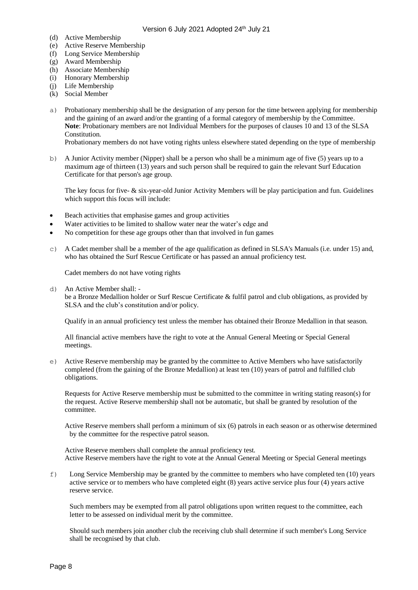- (d) Active Membership
- (e) Active Reserve Membership
- (f) Long Service Membership
- (g) Award Membership
- (h) Associate Membership
- (i) Honorary Membership
- (j) Life Membership
- (k) Social Member
- a) Probationary membership shall be the designation of any person for the time between applying for membership and the gaining of an award and/or the granting of a formal category of membership by the Committee. **Note**: Probationary members are not Individual Members for the purposes of clauses 10 and 13 of the SLSA Constitution.

Probationary members do not have voting rights unless elsewhere stated depending on the type of membership

b) A Junior Activity member (Nipper) shall be a person who shall be a minimum age of five (5) years up to a maximum age of thirteen (13) years and such person shall be required to gain the relevant Surf Education Certificate for that person's age group.

The key focus for five- & six-year-old Junior Activity Members will be play participation and fun. Guidelines which support this focus will include:

- Beach activities that emphasise games and group activities
- Water activities to be limited to shallow water near the water's edge and
- No competition for these age groups other than that involved in fun games
- c) A Cadet member shall be a member of the age qualification as defined in SLSA's Manuals (i.e. under 15) and, who has obtained the Surf Rescue Certificate or has passed an annual proficiency test.

Cadet members do not have voting rights

d) An Active Member shall: -

be a Bronze Medallion holder or Surf Rescue Certificate & fulfil patrol and club obligations, as provided by SLSA and the club's constitution and/or policy.

Qualify in an annual proficiency test unless the member has obtained their Bronze Medallion in that season.

All financial active members have the right to vote at the Annual General Meeting or Special General meetings.

e) Active Reserve membership may be granted by the committee to Active Members who have satisfactorily completed (from the gaining of the Bronze Medallion) at least ten (10) years of patrol and fulfilled club obligations.

Requests for Active Reserve membership must be submitted to the committee in writing stating reason(s) for the request. Active Reserve membership shall not be automatic, but shall be granted by resolution of the committee.

Active Reserve members shall perform a minimum of six (6) patrols in each season or as otherwise determined by the committee for the respective patrol season.

Active Reserve members shall complete the annual proficiency test. Active Reserve members have the right to vote at the Annual General Meeting or Special General meetings

f) Long Service Membership may be granted by the committee to members who have completed ten (10) years active service or to members who have completed eight (8) years active service plus four (4) years active reserve service.

Such members may be exempted from all patrol obligations upon written request to the committee, each letter to be assessed on individual merit by the committee.

Should such members join another club the receiving club shall determine if such member's Long Service shall be recognised by that club.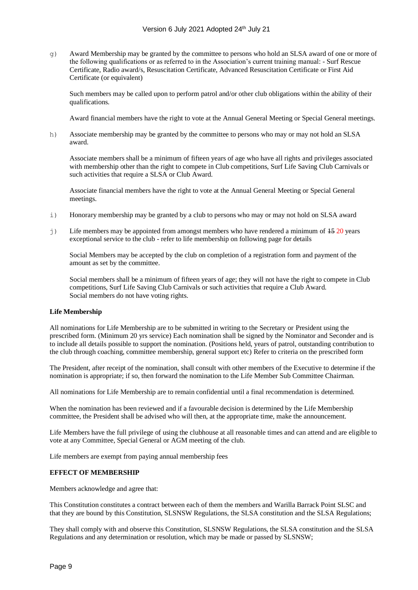g) Award Membership may be granted by the committee to persons who hold an SLSA award of one or more of the following qualifications or as referred to in the Association's current training manual: - Surf Rescue Certificate, Radio award/s, Resuscitation Certificate, Advanced Resuscitation Certificate or First Aid Certificate (or equivalent)

Such members may be called upon to perform patrol and/or other club obligations within the ability of their qualifications.

Award financial members have the right to vote at the Annual General Meeting or Special General meetings.

h) Associate membership may be granted by the committee to persons who may or may not hold an SLSA award.

Associate members shall be a minimum of fifteen years of age who have all rights and privileges associated with membership other than the right to compete in Club competitions, Surf Life Saving Club Carnivals or such activities that require a SLSA or Club Award.

Associate financial members have the right to vote at the Annual General Meeting or Special General meetings.

- i) Honorary membership may be granted by a club to persons who may or may not hold on SLSA award
- $\phi$  Life members may be appointed from amongst members who have rendered a minimum of  $\phi$  15 20 years exceptional service to the club - refer to life membership on following page for details

Social Members may be accepted by the club on completion of a registration form and payment of the amount as set by the committee.

Social members shall be a minimum of fifteen years of age; they will not have the right to compete in Club competitions, Surf Life Saving Club Carnivals or such activities that require a Club Award. Social members do not have voting rights.

## **Life Membership**

All nominations for Life Membership are to be submitted in writing to the Secretary or President using the prescribed form. (Minimum 20 yrs service) Each nomination shall be signed by the Nominator and Seconder and is to include all details possible to support the nomination. (Positions held, years of patrol, outstanding contribution to the club through coaching, committee membership, general support etc) Refer to criteria on the prescribed form

The President, after receipt of the nomination, shall consult with other members of the Executive to determine if the nomination is appropriate; if so, then forward the nomination to the Life Member Sub Committee Chairman.

All nominations for Life Membership are to remain confidential until a final recommendation is determined.

When the nomination has been reviewed and if a favourable decision is determined by the Life Membership committee, the President shall be advised who will then, at the appropriate time, make the announcement.

Life Members have the full privilege of using the clubhouse at all reasonable times and can attend and are eligible to vote at any Committee, Special General or AGM meeting of the club.

Life members are exempt from paying annual membership fees

# **EFFECT OF MEMBERSHIP**

Members acknowledge and agree that:

This Constitution constitutes a contract between each of them the members and Warilla Barrack Point SLSC and that they are bound by this Constitution, SLSNSW Regulations, the SLSA constitution and the SLSA Regulations;

They shall comply with and observe this Constitution, SLSNSW Regulations, the SLSA constitution and the SLSA Regulations and any determination or resolution, which may be made or passed by SLSNSW;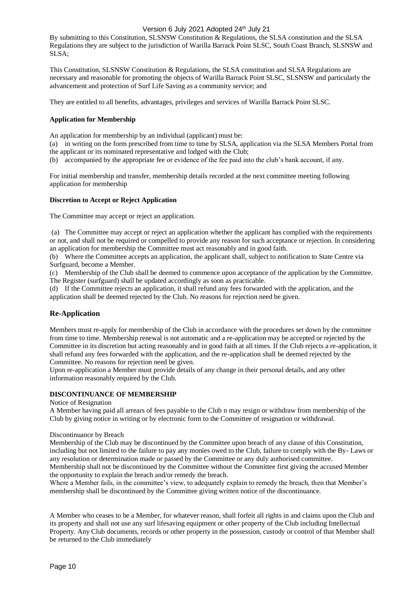# Version 6 July 2021 Adopted 24<sup>th</sup> July 21

By submitting to this Constitution, SLSNSW Constitution & Regulations, the SLSA constitution and the SLSA Regulations they are subject to the jurisdiction of Warilla Barrack Point SLSC, South Coast Branch, SLSNSW and SLSA;

This Constitution, SLSNSW Constitution & Regulations, the SLSA constitution and SLSA Regulations are necessary and reasonable for promoting the objects of Warilla Barrack Point SLSC, SLSNSW and particularly the advancement and protection of Surf Life Saving as a community service; and

They are entitled to all benefits, advantages, privileges and services of Warilla Barrack Point SLSC.

# **Application for Membership**

An application for membership by an individual (applicant) must be:

(a) in writing on the form prescribed from time to time by SLSA, application via the SLSA Members Portal from the applicant or its nominated representative and lodged with the Club;

(b) accompanied by the appropriate fee or evidence of the fee paid into the club's bank account, if any.

For initial membership and transfer, membership details recorded at the next committee meeting following application for membership

## **Discretion to Accept or Reject Application**

The Committee may accept or reject an application.

(a) The Committee may accept or reject an application whether the applicant has complied with the requirements or not, and shall not be required or compelled to provide any reason for such acceptance or rejection. In considering an application for membership the Committee must act reasonably and in good faith.

(b) Where the Committee accepts an application, the applicant shall, subject to notification to State Centre via Surfguard, become a Member.

(c) Membership of the Club shall be deemed to commence upon acceptance of the application by the Committee. The Register (surfguard) shall be updated accordingly as soon as practicable.

(d) If the Committee rejects an application, it shall refund any fees forwarded with the application, and the application shall be deemed rejected by the Club. No reasons for rejection need be given.

# **Re-Application**

Members must re-apply for membership of the Club in accordance with the procedures set down by the committee from time to time. Membership renewal is not automatic and a re-application may be accepted or rejected by the Committee in its discretion but acting reasonably and in good faith at all times. If the Club rejects a re-application, it shall refund any fees forwarded with the application, and the re-application shall be deemed rejected by the Committee. No reasons for rejection need be given.

Upon re-application a Member must provide details of any change in their personal details, and any other information reasonably required by the Club.

## **DISCONTINUANCE OF MEMBERSHIP**

## Notice of Resignation

A Member having paid all arrears of fees payable to the Club n may resign or withdraw from membership of the Club by giving notice in writing or by electronic form to the Committee of resignation or withdrawal.

## Discontinuance by Breach

Membership of the Club may be discontinued by the Committee upon breach of any clause of this Constitution, including but not limited to the failure to pay any monies owed to the Club, failure to comply with the By- Laws or any resolution or determination made or passed by the Committee or any duly authorised committee. Membership shall not be discontinued by the Committee without the Committee first giving the accused Member

the opportunity to explain the breach and/or remedy the breach. Where a Member fails, in the committee's view, to adequately explain to remedy the breach, then that Member's

membership shall be discontinued by the Committee giving written notice of the discontinuance.

A Member who ceases to be a Member, for whatever reason, shall forfeit all rights in and claims upon the Club and its property and shall not use any surf lifesaving equipment or other property of the Club including Intellectual Property. Any Club documents, records or other property in the possession, custody or control of that Member shall be returned to the Club immediately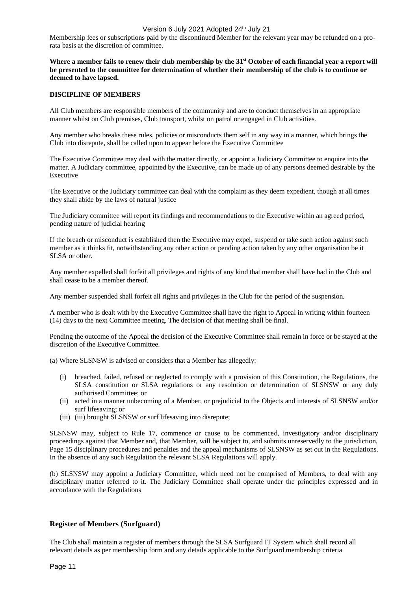Membership fees or subscriptions paid by the discontinued Member for the relevant year may be refunded on a prorata basis at the discretion of committee.

**Where a member fails to renew their club membership by the 31st October of each financial year a report will be presented to the committee for determination of whether their membership of the club is to continue or deemed to have lapsed.** 

# **DISCIPLINE OF MEMBERS**

All Club members are responsible members of the community and are to conduct themselves in an appropriate manner whilst on Club premises, Club transport, whilst on patrol or engaged in Club activities.

Any member who breaks these rules, policies or misconducts them self in any way in a manner, which brings the Club into disrepute, shall be called upon to appear before the Executive Committee

The Executive Committee may deal with the matter directly, or appoint a Judiciary Committee to enquire into the matter. A Judiciary committee, appointed by the Executive, can be made up of any persons deemed desirable by the Executive

The Executive or the Judiciary committee can deal with the complaint as they deem expedient, though at all times they shall abide by the laws of natural justice

The Judiciary committee will report its findings and recommendations to the Executive within an agreed period, pending nature of judicial hearing

If the breach or misconduct is established then the Executive may expel, suspend or take such action against such member as it thinks fit, notwithstanding any other action or pending action taken by any other organisation be it SLSA or other.

Any member expelled shall forfeit all privileges and rights of any kind that member shall have had in the Club and shall cease to be a member thereof.

Any member suspended shall forfeit all rights and privileges in the Club for the period of the suspension.

A member who is dealt with by the Executive Committee shall have the right to Appeal in writing within fourteen (14) days to the next Committee meeting. The decision of that meeting shall be final.

Pending the outcome of the Appeal the decision of the Executive Committee shall remain in force or be stayed at the discretion of the Executive Committee.

(a) Where SLSNSW is advised or considers that a Member has allegedly:

- (i) breached, failed, refused or neglected to comply with a provision of this Constitution, the Regulations, the SLSA constitution or SLSA regulations or any resolution or determination of SLSNSW or any duly authorised Committee; or
- (ii) acted in a manner unbecoming of a Member, or prejudicial to the Objects and interests of SLSNSW and/or surf lifesaving; or
- (iii) (iii) brought SLSNSW or surf lifesaving into disrepute;

SLSNSW may, subject to Rule 17, commence or cause to be commenced, investigatory and/or disciplinary proceedings against that Member and, that Member, will be subject to, and submits unreservedly to the jurisdiction, Page 15 disciplinary procedures and penalties and the appeal mechanisms of SLSNSW as set out in the Regulations. In the absence of any such Regulation the relevant SLSA Regulations will apply.

(b) SLSNSW may appoint a Judiciary Committee, which need not be comprised of Members, to deal with any disciplinary matter referred to it. The Judiciary Committee shall operate under the principles expressed and in accordance with the Regulations

## **Register of Members (Surfguard)**

The Club shall maintain a register of members through the SLSA Surfguard IT System which shall record all relevant details as per membership form and any details applicable to the Surfguard membership criteria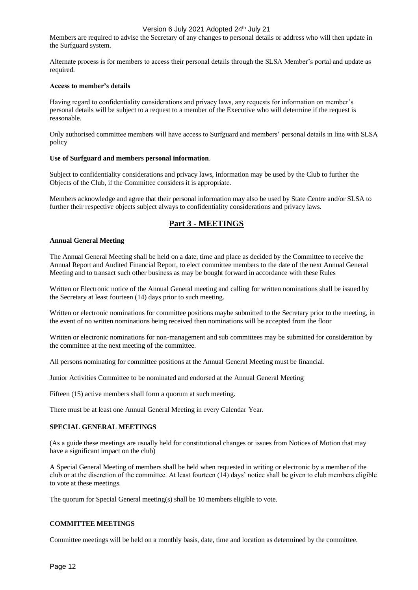# Version 6 July 2021 Adopted 24<sup>th</sup> July 21

Members are required to advise the Secretary of any changes to personal details or address who will then update in the Surfguard system.

Alternate process is for members to access their personal details through the SLSA Member's portal and update as required.

## **Access to member's details**

Having regard to confidentiality considerations and privacy laws, any requests for information on member's personal details will be subject to a request to a member of the Executive who will determine if the request is reasonable.

Only authorised committee members will have access to Surfguard and members' personal details in line with SLSA policy

## **Use of Surfguard and members personal information**.

Subject to confidentiality considerations and privacy laws, information may be used by the Club to further the Objects of the Club, if the Committee considers it is appropriate.

Members acknowledge and agree that their personal information may also be used by State Centre and/or SLSA to further their respective objects subject always to confidentiality considerations and privacy laws.

# **Part 3 - MEETINGS**

## **Annual General Meeting**

The Annual General Meeting shall be held on a date, time and place as decided by the Committee to receive the Annual Report and Audited Financial Report, to elect committee members to the date of the next Annual General Meeting and to transact such other business as may be bought forward in accordance with these Rules

Written or Electronic notice of the Annual General meeting and calling for written nominations shall be issued by the Secretary at least fourteen (14) days prior to such meeting.

Written or electronic nominations for committee positions maybe submitted to the Secretary prior to the meeting, in the event of no written nominations being received then nominations will be accepted from the floor

Written or electronic nominations for non-management and sub committees may be submitted for consideration by the committee at the next meeting of the committee.

All persons nominating for committee positions at the Annual General Meeting must be financial.

Junior Activities Committee to be nominated and endorsed at the Annual General Meeting

Fifteen (15) active members shall form a quorum at such meeting.

There must be at least one Annual General Meeting in every Calendar Year.

## **SPECIAL GENERAL MEETINGS**

(As a guide these meetings are usually held for constitutional changes or issues from Notices of Motion that may have a significant impact on the club)

A Special General Meeting of members shall be held when requested in writing or electronic by a member of the club or at the discretion of the committee. At least fourteen (14) days' notice shall be given to club members eligible to vote at these meetings.

The quorum for Special General meeting(s) shall be 10 members eligible to vote.

## **COMMITTEE MEETINGS**

Committee meetings will be held on a monthly basis, date, time and location as determined by the committee.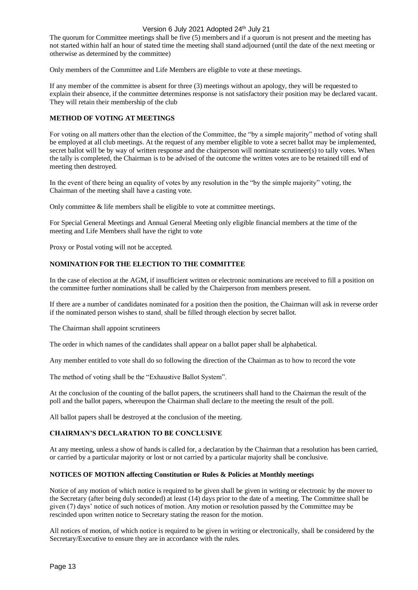The quorum for Committee meetings shall be five (5) members and if a quorum is not present and the meeting has not started within half an hour of stated time the meeting shall stand adjourned (until the date of the next meeting or otherwise as determined by the committee)

Only members of the Committee and Life Members are eligible to vote at these meetings.

If any member of the committee is absent for three (3) meetings without an apology, they will be requested to explain their absence, if the committee determines response is not satisfactory their position may be declared vacant. They will retain their membership of the club

# **METHOD OF VOTING AT MEETINGS**

For voting on all matters other than the election of the Committee, the "by a simple majority" method of voting shall be employed at all club meetings. At the request of any member eligible to vote a secret ballot may be implemented, secret ballot will be by way of written response and the chairperson will nominate scrutineer(s) to tally votes. When the tally is completed, the Chairman is to be advised of the outcome the written votes are to be retained till end of meeting then destroyed.

In the event of there being an equality of votes by any resolution in the "by the simple majority" voting, the Chairman of the meeting shall have a casting vote.

Only committee & life members shall be eligible to vote at committee meetings.

For Special General Meetings and Annual General Meeting only eligible financial members at the time of the meeting and Life Members shall have the right to vote

Proxy or Postal voting will not be accepted.

# **NOMINATION FOR THE ELECTION TO THE COMMITTEE**

In the case of election at the AGM, if insufficient written or electronic nominations are received to fill a position on the committee further nominations shall be called by the Chairperson from members present.

If there are a number of candidates nominated for a position then the position, the Chairman will ask in reverse order if the nominated person wishes to stand, shall be filled through election by secret ballot.

The Chairman shall appoint scrutineers

The order in which names of the candidates shall appear on a ballot paper shall be alphabetical.

Any member entitled to vote shall do so following the direction of the Chairman as to how to record the vote

The method of voting shall be the "Exhaustive Ballot System".

At the conclusion of the counting of the ballot papers, the scrutineers shall hand to the Chairman the result of the poll and the ballot papers, whereupon the Chairman shall declare to the meeting the result of the poll.

All ballot papers shall be destroyed at the conclusion of the meeting.

## **CHAIRMAN'S DECLARATION TO BE CONCLUSIVE**

At any meeting, unless a show of hands is called for, a declaration by the Chairman that a resolution has been carried, or carried by a particular majority or lost or not carried by a particular majority shall be conclusive.

## **NOTICES OF MOTION affecting Constitution or Rules & Policies at Monthly meetings**

Notice of any motion of which notice is required to be given shall be given in writing or electronic by the mover to the Secretary (after being duly seconded) at least (14) days prior to the date of a meeting. The Committee shall be given (7) days' notice of such notices of motion. Any motion or resolution passed by the Committee may be rescinded upon written notice to Secretary stating the reason for the motion.

All notices of motion, of which notice is required to be given in writing or electronically, shall be considered by the Secretary/Executive to ensure they are in accordance with the rules.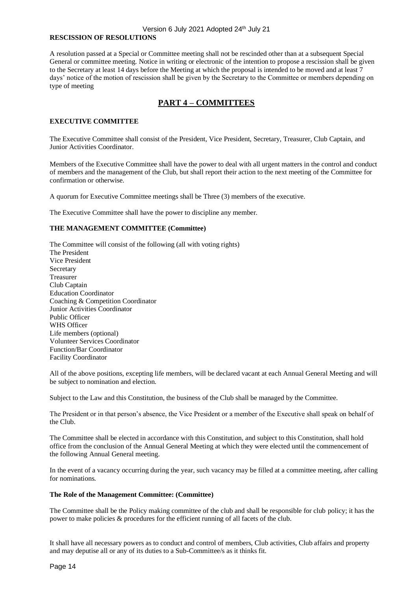# **RESCISSION OF RESOLUTIONS**

A resolution passed at a Special or Committee meeting shall not be rescinded other than at a subsequent Special General or committee meeting. Notice in writing or electronic of the intention to propose a rescission shall be given to the Secretary at least 14 days before the Meeting at which the proposal is intended to be moved and at least 7 days' notice of the motion of rescission shall be given by the Secretary to the Committee or members depending on type of meeting

# **PART 4 – COMMITTEES**

# **EXECUTIVE COMMITTEE**

The Executive Committee shall consist of the President, Vice President, Secretary, Treasurer, Club Captain, and Junior Activities Coordinator.

Members of the Executive Committee shall have the power to deal with all urgent matters in the control and conduct of members and the management of the Club, but shall report their action to the next meeting of the Committee for confirmation or otherwise.

A quorum for Executive Committee meetings shall be Three (3) members of the executive.

The Executive Committee shall have the power to discipline any member.

# **THE MANAGEMENT COMMITTEE (Committee)**

The Committee will consist of the following (all with voting rights) The President Vice President Secretary Treasurer Club Captain Education Coordinator Coaching & Competition Coordinator Junior Activities Coordinator Public Officer WHS Officer Life members (optional) Volunteer Services Coordinator Function/Bar Coordinator Facility Coordinator

All of the above positions, excepting life members, will be declared vacant at each Annual General Meeting and will be subject to nomination and election.

Subject to the Law and this Constitution, the business of the Club shall be managed by the Committee.

The President or in that person's absence, the Vice President or a member of the Executive shall speak on behalf of the Club.

The Committee shall be elected in accordance with this Constitution, and subject to this Constitution, shall hold office from the conclusion of the Annual General Meeting at which they were elected until the commencement of the following Annual General meeting.

In the event of a vacancy occurring during the year, such vacancy may be filled at a committee meeting, after calling for nominations.

# **The Role of the Management Committee: (Committee)**

The Committee shall be the Policy making committee of the club and shall be responsible for club policy; it has the power to make policies & procedures for the efficient running of all facets of the club.

It shall have all necessary powers as to conduct and control of members, Club activities, Club affairs and property and may deputise all or any of its duties to a Sub-Committee/s as it thinks fit.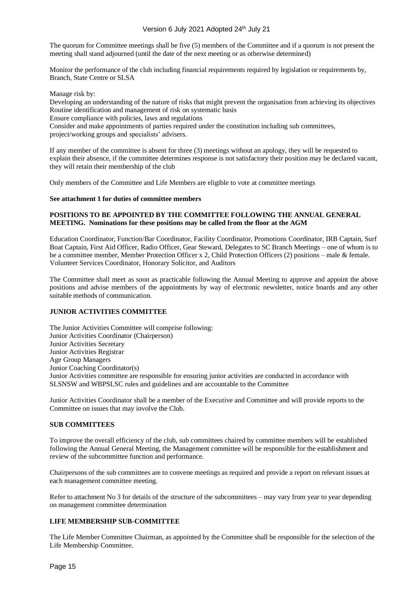The quorum for Committee meetings shall be five (5) members of the Committee and if a quorum is not present the meeting shall stand adjourned (until the date of the next meeting or as otherwise determined)

Monitor the performance of the club including financial requirements required by legislation or requirements by, Branch, State Centre or SLSA

Manage risk by:

Developing an understanding of the nature of risks that might prevent the organisation from achieving its objectives Routine identification and management of risk on systematic basis

Ensure compliance with policies, laws and regulations

Consider and make appointments of parties required under the constitution including sub committees, project/working groups and specialists' advisers.

If any member of the committee is absent for three (3) meetings without an apology, they will be requested to explain their absence, if the committee determines response is not satisfactory their position may be declared vacant, they will retain their membership of the club

Only members of the Committee and Life Members are eligible to vote at committee meetings

## **See attachment 1 for duties of committee members**

# **POSITIONS TO BE APPOINTED BY THE COMMITTEE FOLLOWING THE ANNUAL GENERAL MEETING. Nominations for these positions may be called from the floor at the AGM**

Education Coordinator, Function/Bar Coordinator, Facility Coordinator, Promotions Coordinator, IRB Captain, Surf Boat Captain, First Aid Officer, Radio Officer, Gear Steward, Delegates to SC Branch Meetings – one of whom is to be a committee member, Member Protection Officer x 2, Child Protection Officers (2) positions – male & female. Volunteer Services Coordinator, Honorary Solicitor, and Auditors

The Committee shall meet as soon as practicable following the Annual Meeting to approve and appoint the above positions and advise members of the appointments by way of electronic newsletter, notice boards and any other suitable methods of communication.

# **JUNIOR ACTIVITIES COMMITTEE**

The Junior Activities Committee will comprise following: Junior Activities Coordinator (Chairperson) Junior Activities Secretary Junior Activities Registrar Age Group Managers Junior Coaching Coordinator(s) Junior Activities committee are responsible for ensuring junior activities are conducted in accordance with SLSNSW and WBPSLSC rules and guidelines and are accountable to the Committee

Junior Activities Coordinator shall be a member of the Executive and Committee and will provide reports to the Committee on issues that may involve the Club.

## **SUB COMMITTEES**

To improve the overall efficiency of the club, sub committees chaired by committee members will be established following the Annual General Meeting, the Management committee will be responsible for the establishment and review of the subcommittee function and performance.

Chairpersons of the sub committees are to convene meetings as required and provide a report on relevant issues at each management committee meeting.

Refer to attachment No 3 for details of the structure of the subcommittees – may vary from year to year depending on management committee determination

## **LIFE MEMBERSHIP SUB-COMMITTEE**

The Life Member Committee Chairman, as appointed by the Committee shall be responsible for the selection of the Life Membership Committee.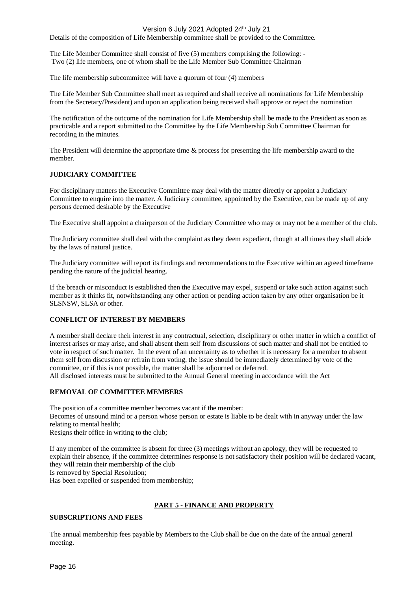Details of the composition of Life Membership committee shall be provided to the Committee.

The Life Member Committee shall consist of five (5) members comprising the following: - Two (2) life members, one of whom shall be the Life Member Sub Committee Chairman

The life membership subcommittee will have a quorum of four (4) members

The Life Member Sub Committee shall meet as required and shall receive all nominations for Life Membership from the Secretary/President) and upon an application being received shall approve or reject the nomination

The notification of the outcome of the nomination for Life Membership shall be made to the President as soon as practicable and a report submitted to the Committee by the Life Membership Sub Committee Chairman for recording in the minutes.

The President will determine the appropriate time & process for presenting the life membership award to the member.

## **JUDICIARY COMMITTEE**

For disciplinary matters the Executive Committee may deal with the matter directly or appoint a Judiciary Committee to enquire into the matter. A Judiciary committee, appointed by the Executive, can be made up of any persons deemed desirable by the Executive

The Executive shall appoint a chairperson of the Judiciary Committee who may or may not be a member of the club.

The Judiciary committee shall deal with the complaint as they deem expedient, though at all times they shall abide by the laws of natural justice.

The Judiciary committee will report its findings and recommendations to the Executive within an agreed timeframe pending the nature of the judicial hearing.

If the breach or misconduct is established then the Executive may expel, suspend or take such action against such member as it thinks fit, notwithstanding any other action or pending action taken by any other organisation be it SLSNSW, SLSA or other.

# **CONFLICT OF INTEREST BY MEMBERS**

A member shall declare their interest in any contractual, selection, disciplinary or other matter in which a conflict of interest arises or may arise, and shall absent them self from discussions of such matter and shall not be entitled to vote in respect of such matter. In the event of an uncertainty as to whether it is necessary for a member to absent them self from discussion or refrain from voting, the issue should be immediately determined by vote of the committee, or if this is not possible, the matter shall be adjourned or deferred.

All disclosed interests must be submitted to the Annual General meeting in accordance with the Act

# **REMOVAL OF COMMITTEE MEMBERS**

The position of a committee member becomes vacant if the member: Becomes of unsound mind or a person whose person or estate is liable to be dealt with in anyway under the law relating to mental health; Resigns their office in writing to the club;

If any member of the committee is absent for three (3) meetings without an apology, they will be requested to explain their absence, if the committee determines response is not satisfactory their position will be declared vacant, they will retain their membership of the club Is removed by Special Resolution;

Has been expelled or suspended from membership;

## **PART 5 - FINANCE AND PROPERTY**

#### **SUBSCRIPTIONS AND FEES**

The annual membership fees payable by Members to the Club shall be due on the date of the annual general meeting.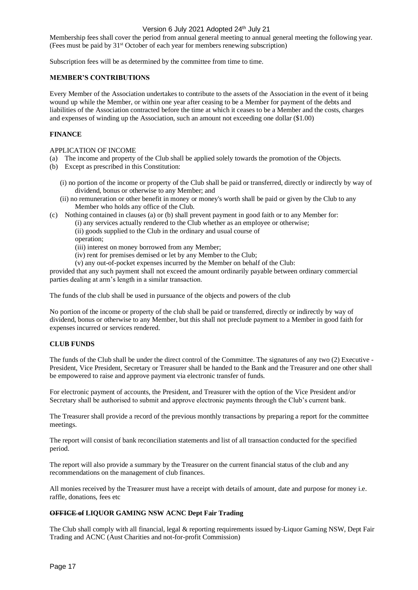Membership fees shall cover the period from annual general meeting to annual general meeting the following year. (Fees must be paid by  $31<sup>st</sup>$  October of each year for members renewing subscription)

Subscription fees will be as determined by the committee from time to time.

# **MEMBER'S CONTRIBUTIONS**

Every Member of the Association undertakes to contribute to the assets of the Association in the event of it being wound up while the Member, or within one year after ceasing to be a Member for payment of the debts and liabilities of the Association contracted before the time at which it ceases to be a Member and the costs, charges and expenses of winding up the Association, such an amount not exceeding one dollar (\$1.00)

# **FINANCE**

# APPLICATION OF INCOME

- (a) The income and property of the Club shall be applied solely towards the promotion of the Objects.
- (b) Except as prescribed in this Constitution:
	- (i) no portion of the income or property of the Club shall be paid or transferred, directly or indirectly by way of dividend, bonus or otherwise to any Member; and
	- (ii) no remuneration or other benefit in money or money's worth shall be paid or given by the Club to any Member who holds any office of the Club.
- (c) Nothing contained in clauses (a) or (b) shall prevent payment in good faith or to any Member for:
	- (i) any services actually rendered to the Club whether as an employee or otherwise;

(ii) goods supplied to the Club in the ordinary and usual course of

- operation;
- (iii) interest on money borrowed from any Member;
- (iv) rent for premises demised or let by any Member to the Club;
- (v) any out-of-pocket expenses incurred by the Member on behalf of the Club:

provided that any such payment shall not exceed the amount ordinarily payable between ordinary commercial parties dealing at arm's length in a similar transaction.

The funds of the club shall be used in pursuance of the objects and powers of the club

No portion of the income or property of the club shall be paid or transferred, directly or indirectly by way of dividend, bonus or otherwise to any Member, but this shall not preclude payment to a Member in good faith for expenses incurred or services rendered.

# **CLUB FUNDS**

The funds of the Club shall be under the direct control of the Committee. The signatures of any two (2) Executive - President, Vice President, Secretary or Treasurer shall be handed to the Bank and the Treasurer and one other shall be empowered to raise and approve payment via electronic transfer of funds.

For electronic payment of accounts, the President, and Treasurer with the option of the Vice President and/or Secretary shall be authorised to submit and approve electronic payments through the Club's current bank.

The Treasurer shall provide a record of the previous monthly transactions by preparing a report for the committee meetings.

The report will consist of bank reconciliation statements and list of all transaction conducted for the specified period.

The report will also provide a summary by the Treasurer on the current financial status of the club and any recommendations on the management of club finances.

All monies received by the Treasurer must have a receipt with details of amount, date and purpose for money i.e. raffle, donations, fees etc

# **OFFICE of LIQUOR GAMING NSW ACNC Dept Fair Trading**

The Club shall comply with all financial, legal & reporting requirements issued by Liquor Gaming NSW, Dept Fair Trading and ACNC (Aust Charities and not-for-profit Commission)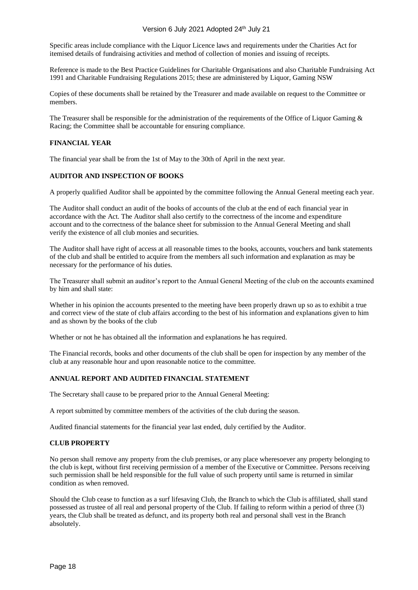Specific areas include compliance with the Liquor Licence laws and requirements under the Charities Act for itemised details of fundraising activities and method of collection of monies and issuing of receipts.

Reference is made to the Best Practice Guidelines for Charitable Organisations and also Charitable Fundraising Act 1991 and Charitable Fundraising Regulations 2015; these are administered by Liquor, Gaming NSW

Copies of these documents shall be retained by the Treasurer and made available on request to the Committee or members.

The Treasurer shall be responsible for the administration of the requirements of the Office of Liquor Gaming  $\&$ Racing; the Committee shall be accountable for ensuring compliance.

# **FINANCIAL YEAR**

The financial year shall be from the 1st of May to the 30th of April in the next year.

## **AUDITOR AND INSPECTION OF BOOKS**

A properly qualified Auditor shall be appointed by the committee following the Annual General meeting each year.

The Auditor shall conduct an audit of the books of accounts of the club at the end of each financial year in accordance with the Act. The Auditor shall also certify to the correctness of the income and expenditure account and to the correctness of the balance sheet for submission to the Annual General Meeting and shall verify the existence of all club monies and securities.

The Auditor shall have right of access at all reasonable times to the books, accounts, vouchers and bank statements of the club and shall be entitled to acquire from the members all such information and explanation as may be necessary for the performance of his duties.

The Treasurer shall submit an auditor's report to the Annual General Meeting of the club on the accounts examined by him and shall state:

Whether in his opinion the accounts presented to the meeting have been properly drawn up so as to exhibit a true and correct view of the state of club affairs according to the best of his information and explanations given to him and as shown by the books of the club

Whether or not he has obtained all the information and explanations he has required.

The Financial records, books and other documents of the club shall be open for inspection by any member of the club at any reasonable hour and upon reasonable notice to the committee.

## **ANNUAL REPORT AND AUDITED FINANCIAL STATEMENT**

The Secretary shall cause to be prepared prior to the Annual General Meeting:

A report submitted by committee members of the activities of the club during the season.

Audited financial statements for the financial year last ended, duly certified by the Auditor.

## **CLUB PROPERTY**

No person shall remove any property from the club premises, or any place wheresoever any property belonging to the club is kept, without first receiving permission of a member of the Executive or Committee. Persons receiving such permission shall be held responsible for the full value of such property until same is returned in similar condition as when removed.

Should the Club cease to function as a surf lifesaving Club, the Branch to which the Club is affiliated, shall stand possessed as trustee of all real and personal property of the Club. If failing to reform within a period of three (3) years, the Club shall be treated as defunct, and its property both real and personal shall vest in the Branch absolutely.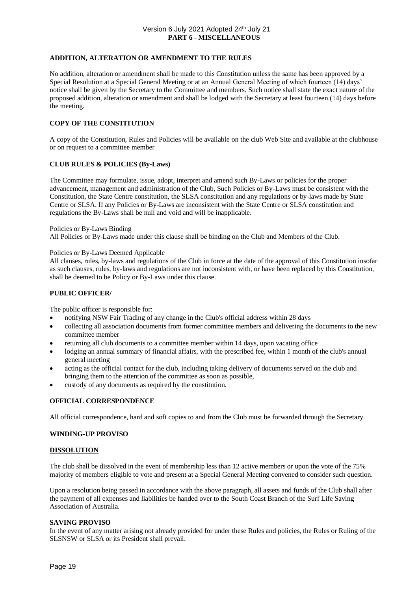# **ADDITION, ALTERATION OR AMENDMENT TO THE RULES**

No addition, alteration or amendment shall be made to this Constitution unless the same has been approved by a Special Resolution at a Special General Meeting or at an Annual General Meeting of which fourteen (14) days' notice shall be given by the Secretary to the Committee and members. Such notice shall state the exact nature of the proposed addition, alteration or amendment and shall be lodged with the Secretary at least fourteen (14) days before the meeting.

# **COPY OF THE CONSTITUTION**

A copy of the Constitution, Rules and Policies will be available on the club Web Site and available at the clubhouse or on request to a committee member

# **CLUB RULES & POLICIES (By-Laws)**

The Committee may formulate, issue, adopt, interpret and amend such By-Laws or policies for the proper advancement, management and administration of the Club, Such Policies or By-Laws must be consistent with the Constitution, the State Centre constitution, the SLSA constitution and any regulations or by-laws made by State Centre or SLSA. If any Policies or By-Laws are inconsistent with the State Centre or SLSA constitution and regulations the By-Laws shall be null and void and will be inapplicable.

#### Policies or By-Laws Binding

All Policies or By-Laws made under this clause shall be binding on the Club and Members of the Club.

#### Policies or By-Laws Deemed Applicable

All clauses, rules, by-laws and regulations of the Club in force at the date of the approval of this Constitution insofar as such clauses, rules, by-laws and regulations are not inconsistent with, or have been replaced by this Constitution, shall be deemed to be Policy or By-Laws under this clause.

## **PUBLIC OFFICER/**

The public officer is responsible for:

- notifying NSW Fair Trading of any change in the Club's official address within 28 days
- collecting all association documents from former committee members and delivering the documents to the new committee member
- returning all club documents to a committee member within 14 days, upon vacating office
- lodging an annual summary of financial affairs, with the prescribed fee, within 1 month of the club's annual general meeting
- acting as the official contact for the club, including taking delivery of documents served on the club and bringing them to the attention of the committee as soon as possible,
- custody of any documents as required by the constitution.

## **OFFICIAL CORRESPONDENCE**

All official correspondence, hard and soft copies to and from the Club must be forwarded through the Secretary.

## **WINDING-UP PROVISO**

## **DISSOLUTION**

The club shall be dissolved in the event of membership less than 12 active members or upon the vote of the 75% majority of members eligible to vote and present at a Special General Meeting convened to consider such question.

Upon a resolution being passed in accordance with the above paragraph, all assets and funds of the Club shall after the payment of all expenses and liabilities be handed over to the South Coast Branch of the Surf Life Saving Association of Australia.

## **SAVING PROVISO**

In the event of any matter arising not already provided for under these Rules and policies, the Rules or Ruling of the SLSNSW or SLSA or its President shall prevail.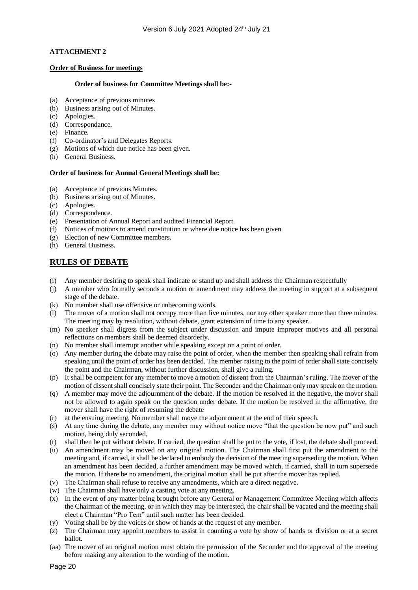# **ATTACHMENT 2**

## **Order of Business for meetings**

# **Order of business for Committee Meetings shall be:-**

- (a) Acceptance of previous minutes
- (b) Business arising out of Minutes.
- (c) Apologies.
- (d) Correspondance.
- (e) Finance.
- (f) Co-ordinator's and Delegates Reports.
- (g) Motions of which due notice has been given.
- (h) General Business.

## **Order of business for Annual General Meetings shall be:**

- (a) Acceptance of previous Minutes.
- (b) Business arising out of Minutes.
- (c) Apologies.
- (d) Correspondence.
- (e) Presentation of Annual Report and audited Financial Report.
- (f) Notices of motions to amend constitution or where due notice has been given
- (g) Election of new Committee members.
- (h) General Business.

# **RULES OF DEBATE**

- (i) Any member desiring to speak shall indicate or stand up and shall address the Chairman respectfully
- (j) A member who formally seconds a motion or amendment may address the meeting in support at a subsequent stage of the debate.
- (k) No member shall use offensive or unbecoming words.
- (l) The mover of a motion shall not occupy more than five minutes, nor any other speaker more than three minutes. The meeting may by resolution, without debate, grant extension of time to any speaker.
- (m) No speaker shall digress from the subject under discussion and impute improper motives and all personal reflections on members shall be deemed disorderly.
- (n) No member shall interrupt another while speaking except on a point of order.
- (o) Any member during the debate may raise the point of order, when the member then speaking shall refrain from speaking until the point of order has been decided. The member raising to the point of order shall state concisely the point and the Chairman, without further discussion, shall give a ruling.
- (p) It shall be competent for any member to move a motion of dissent from the Chairman's ruling. The mover of the motion of dissent shall concisely state their point. The Seconder and the Chairman only may speak on the motion.
- (q) A member may move the adjournment of the debate. If the motion be resolved in the negative, the mover shall not be allowed to again speak on the question under debate. If the motion be resolved in the affirmative, the mover shall have the right of resuming the debate
- (r) at the ensuing meeting. No member shall move the adjournment at the end of their speech.
- (s) At any time during the debate, any member may without notice move "that the question be now put" and such motion, being duly seconded,
- (t) shall then be put without debate. If carried, the question shall be put to the vote, if lost, the debate shall proceed.
- (u) An amendment may be moved on any original motion. The Chairman shall first put the amendment to the meeting and, if carried, it shall be declared to embody the decision of the meeting superseding the motion. When an amendment has been decided, a further amendment may be moved which, if carried, shall in turn supersede the motion. If there be no amendment, the original motion shall be put after the mover has replied.
- (v) The Chairman shall refuse to receive any amendments, which are a direct negative.
- (w) The Chairman shall have only a casting vote at any meeting.
- (x) In the event of any matter being brought before any General or Management Committee Meeting which affects the Chairman of the meeting, or in which they may be interested, the chair shall be vacated and the meeting shall elect a Chairman "Pro Tem" until such matter has been decided.
- (y) Voting shall be by the voices or show of hands at the request of any member.
- (z) The Chairman may appoint members to assist in counting a vote by show of hands or division or at a secret ballot.
- (aa) The mover of an original motion must obtain the permission of the Seconder and the approval of the meeting before making any alteration to the wording of the motion.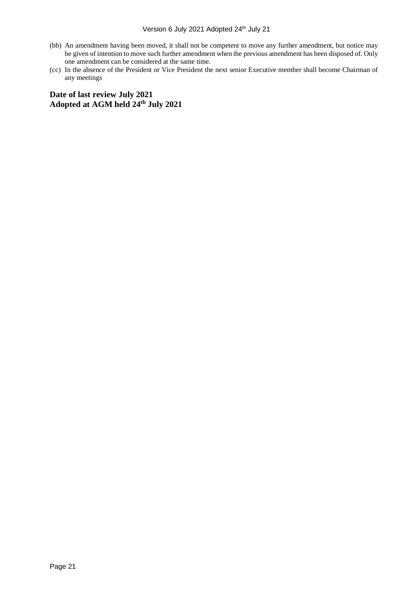- (bb) An amendment having been moved, it shall not be competent to move any further amendment, but notice may be given of intention to move such further amendment when the previous amendment has been disposed of. Only one amendment can be considered at the same time.
- (cc) In the absence of the President or Vice President the next senior Executive member shall become Chairman of any meetings

**Date of last review July 2021 Adopted at AGM held 24th July 2021**